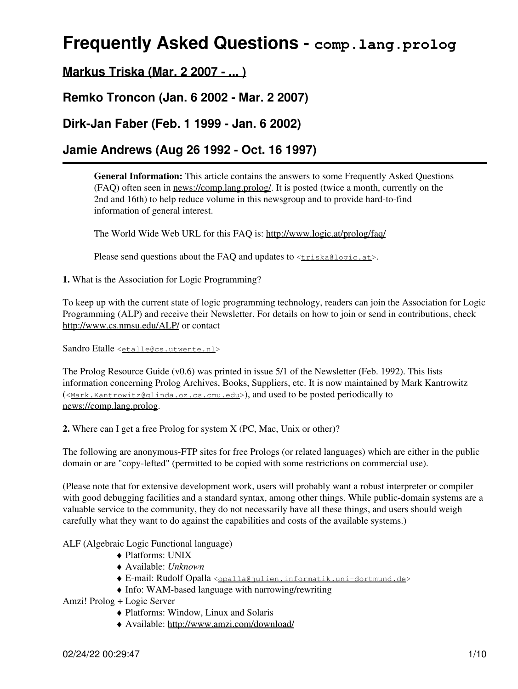# **Frequently Asked Questions - comp.lang.prolog**

**[Markus Triska \(Mar. 2 2007 - ... \)](https://www.metalevel.at)**

**Remko Troncon (Jan. 6 2002 - Mar. 2 2007)**

**Dirk-Jan Faber (Feb. 1 1999 - Jan. 6 2002)**

### **Jamie Andrews (Aug 26 1992 - Oct. 16 1997)**

**General Information:** This article contains the answers to some Frequently Asked Questions (FAQ) often seen in news://comp.lang.prolog/. It is posted (twice a month, currently on the 2nd and 16th) to help reduce volume in this newsgroup and to provide hard-to-find information of general interest.

The World Wide Web URL for this FAQ is: <http://www.logic.at/prolog/faq/>

Please send questions about the FAQ and updates to  $\langle$ [triska@logic.at>](mailto:triska@logic.at).

**1.** What is the Association for Logic Programming?

To keep up with the current state of logic programming technology, readers can join the Association for Logic Programming (ALP) and receive their Newsletter. For details on how to join or send in contributions, check <http://www.cs.nmsu.edu/ALP/> or contact

Sandro Etalle <[etalle@cs.utwente.nl>](mailto:etalle@cs.utwente.nl)

The Prolog Resource Guide (v0.6) was printed in issue 5/1 of the Newsletter (Feb. 1992). This lists information concerning Prolog Archives, Books, Suppliers, etc. It is now maintained by Mark Kantrowitz ([<Mark.Kantrowitz@glinda.oz.cs.cmu.edu>](mailto:Mark.Kantrowitz@glinda.oz.cs.cmu.edu)), and used to be posted periodically to news://comp.lang.prolog.

**2.** Where can I get a free Prolog for system X (PC, Mac, Unix or other)?

The following are anonymous-FTP sites for free Prologs (or related languages) which are either in the public domain or are "copy-lefted" (permitted to be copied with some restrictions on commercial use).

(Please note that for extensive development work, users will probably want a robust interpreter or compiler with good debugging facilities and a standard syntax, among other things. While public-domain systems are a valuable service to the community, they do not necessarily have all these things, and users should weigh carefully what they want to do against the capabilities and costs of the available systems.)

ALF (Algebraic Logic Functional language)

- ♦ Platforms: UNIX
- ♦ Available: *Unknown*
- ♦ E-mail: Rudolf Opalla [<opalla@julien.informatik.uni-dortmund.de](mailto:opalla@julien.informatik.uni-dortmund.de)>
- ♦ Info: WAM-based language with narrowing/rewriting

Amzi! Prolog + Logic Server

- ♦ Platforms: Window, Linux and Solaris
- ♦ Available: <http://www.amzi.com/download/>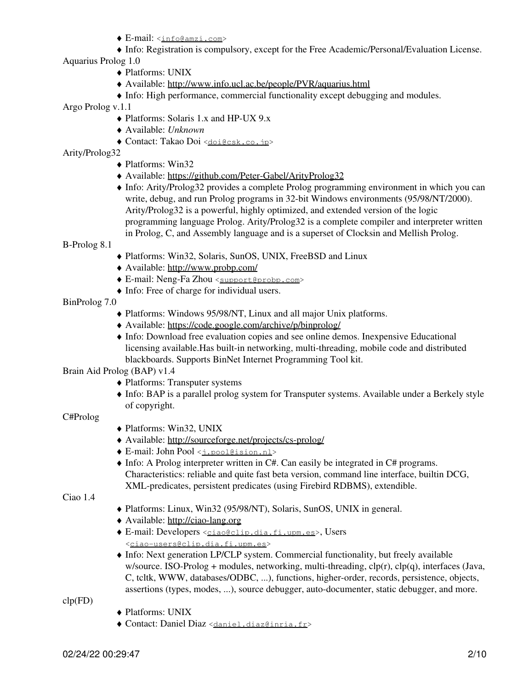- ♦ E-mail: [<info@amzi.com](mailto:info@amzi.com)>
- ♦ Info: Registration is compulsory, except for the Free Academic/Personal/Evaluation License.
- Aquarius Prolog 1.0
	- ♦ Platforms: UNIX
	- ♦ Available: <http://www.info.ucl.ac.be/people/PVR/aquarius.html>
	- ♦ Info: High performance, commercial functionality except debugging and modules.

Argo Prolog v.1.1

- ♦ Platforms: Solaris 1.x and HP-UX 9.x
- ♦ Available: *Unknown*
- ♦ Contact: Takao Doi <[doi@csk.co.jp](mailto:doi@csk.co.jp)>
- Arity/Prolog32
	- ♦ Platforms: Win32
	- ♦ Available: <https://github.com/Peter-Gabel/ArityProlog32>
	- Info: Arity/Prolog32 provides a complete Prolog programming environment in which you can ♦ write, debug, and run Prolog programs in 32-bit Windows environments (95/98/NT/2000). Arity/Prolog32 is a powerful, highly optimized, and extended version of the logic programming language Prolog. Arity/Prolog32 is a complete compiler and interpreter written in Prolog, C, and Assembly language and is a superset of Clocksin and Mellish Prolog.

B-Prolog 8.1

- ♦ Platforms: Win32, Solaris, SunOS, UNIX, FreeBSD and Linux
- ♦ Available: <http://www.probp.com/>
- ♦ E-mail: Neng-Fa Zhou [<support@probp.com](mailto:support@probp.com)>
- ♦ Info: Free of charge for individual users.
- BinProlog 7.0
	- ♦ Platforms: Windows 95/98/NT, Linux and all major Unix platforms.
	- ♦ Available: <https://code.google.com/archive/p/binprolog/>
	- Info: Download free evaluation copies and see online demos. Inexpensive Educational ♦ licensing available.Has built-in networking, multi-threading, mobile code and distributed blackboards. Supports BinNet Internet Programming Tool kit.

Brain Aid Prolog (BAP) v1.4

- ♦ Platforms: Transputer systems
- Info: BAP is a parallel prolog system for Transputer systems. Available under a Berkely style ♦ of copyright.

#### C#Prolog

- ♦ Platforms: Win32, UNIX
- ♦ Available: <http://sourceforge.net/projects/cs-prolog/>
- ♦ E-mail: John Pool <[j.pool@ision.nl>](mailto:j.pool@ision.nl)
- Info: A Prolog interpreter written in C#. Can easily be integrated in C# programs. ♦ Characteristics: reliable and quite fast beta version, command line interface, builtin DCG, XML-predicates, persistent predicates (using Firebird RDBMS), extendible.

Ciao 1.4

- ♦ Platforms: Linux, Win32 (95/98/NT), Solaris, SunOS, UNIX in general.
- ♦ Available: <http://ciao-lang.org>
- E-mail: Developers <[ciao@clip.dia.fi.upm.es](mailto:ciao@clip.dia.fi.upm.es)>, Users ♦ [<ciao-users@clip.dia.fi.upm.es](mailto:ciao-users@clip.dia.fi.upm.es)>
- Info: Next generation LP/CLP system. Commercial functionality, but freely available ♦ w/source. ISO-Prolog + modules, networking, multi-threading,  $clp(r)$ ,  $clp(q)$ , interfaces (Java, C, tcltk, WWW, databases/ODBC, ...), functions, higher-order, records, persistence, objects, assertions (types, modes, ...), source debugger, auto-documenter, static debugger, and more.

clp(FD)

- ♦ Platforms: UNIX
- ♦ Contact: Daniel Diaz [<daniel.diaz@inria.fr](mailto:daniel.diaz@inria.fr)>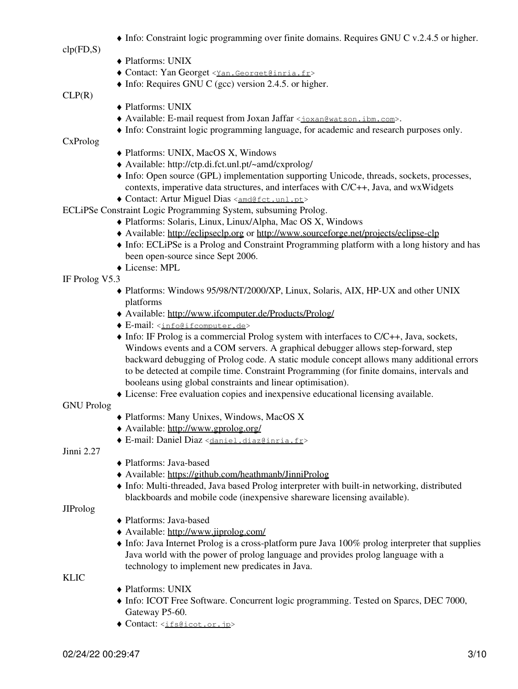♦ Info: Constraint logic programming over finite domains. Requires GNU C v.2.4.5 or higher.

 $clp(FD,S)$ 

- ♦ Platforms: UNIX
- ♦ Contact: Yan Georget <[Yan.Georget@inria.fr>](mailto:Yan.Georget@inria.fr)
- $\triangleleft$  Info: Requires GNU C (gcc) version 2.4.5. or higher.

 $CLP(R)$ 

- ♦ Platforms: UNIX
- ♦ Available: E-mail request from Joxan Jaffar <[joxan@watson.ibm.com>](mailto:joxan@watson.ibm.com).
- ♦ Info: Constraint logic programming language, for academic and research purposes only.

CxProlog

- ♦ Platforms: UNIX, MacOS X, Windows
- ♦ Available: http://ctp.di.fct.unl.pt/~amd/cxprolog/
- Info: Open source (GPL) implementation supporting Unicode, threads, sockets, processes, ♦ contexts, imperative data structures, and interfaces with C/C++, Java, and wxWidgets
- ♦ Contact: Artur Miguel Dias [<amd@fct.unl.pt](mailto:amd@fct.unl.pt)>

ECLiPSe Constraint Logic Programming System, subsuming Prolog.

- ♦ Platforms: Solaris, Linux, Linux/Alpha, Mac OS X, Windows
- ♦ Available: <http://eclipseclp.org> or <http://www.sourceforge.net/projects/eclipse-clp>
- Info: ECLiPSe is a Prolog and Constraint Programming platform with a long history and has ♦ been open-source since Sept 2006.
- ♦ License: MPL

#### IF Prolog V5.3

- Platforms: Windows 95/98/NT/2000/XP, Linux, Solaris, AIX, HP-UX and other UNIX ♦ platforms
- ♦ Available: <http://www.ifcomputer.de/Products/Prolog/>
- ♦ E-mail: [<info@ifcomputer.de](mailto:info@ifcomputer.de)>
- Info: IF Prolog is a commercial Prolog system with interfaces to C/C++, Java, sockets, ♦ Windows events and a COM servers. A graphical debugger allows step-forward, step backward debugging of Prolog code. A static module concept allows many additional errors to be detected at compile time. Constraint Programming (for finite domains, intervals and booleans using global constraints and linear optimisation).
- ♦ License: Free evaluation copies and inexpensive educational licensing available.

#### GNU Prolog

- ♦ Platforms: Many Unixes, Windows, MacOS X
- ♦ Available: <http://www.gprolog.org/>
- ♦ E-mail: Daniel Diaz <[daniel.diaz@inria.fr>](mailto:daniel.diaz@inria.fr)

Jinni 2.27

- ♦ Platforms: Java-based
- ♦ Available: <https://github.com/heathmanb/JinniProlog>
- Info: Multi-threaded, Java based Prolog interpreter with built-in networking, distributed ♦ blackboards and mobile code (inexpensive shareware licensing available).

#### JIProlog

- ♦ Platforms: Java-based
- ♦ Available: <http://www.jiprolog.com/>
- Info: Java Internet Prolog is a cross-platform pure Java 100% prolog interpreter that supplies ♦ Java world with the power of prolog language and provides prolog language with a technology to implement new predicates in Java.

KLIC

- ♦ Platforms: UNIX
- Info: ICOT Free Software. Concurrent logic programming. Tested on Sparcs, DEC 7000, ♦ Gateway P5-60.
- ♦ Contact: [<ifs@icot.or.jp](mailto:ifs@icot.or.jp)>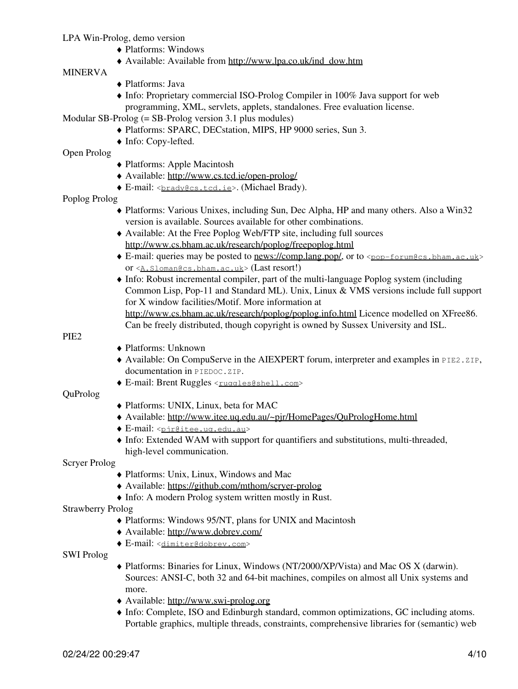LPA Win-Prolog, demo version

- ♦ Platforms: Windows
- ♦ Available: Available from [http://www.lpa.co.uk/ind\\_dow.htm](http://www.lpa.co.uk/ind_dow.htm)

#### MINERVA

- ♦ Platforms: Java
- Info: Proprietary commercial ISO-Prolog Compiler in 100% Java support for web ♦ programming, XML, servlets, applets, standalones. Free evaluation license.

Modular SB-Prolog (= SB-Prolog version 3.1 plus modules)

- ♦ Platforms: SPARC, DECstation, MIPS, HP 9000 series, Sun 3.
- ♦ Info: Copy-lefted.

#### Open Prolog

- ♦ Platforms: Apple Macintosh
- ♦ Available: <http://www.cs.tcd.ie/open-prolog/>
- ♦ E-mail: [<brady@cs.tcd.ie](mailto:brady@cs.tcd.ie)>. (Michael Brady).
- Poplog Prolog
	- Platforms: Various Unixes, including Sun, Dec Alpha, HP and many others. Also a Win32 ♦ version is available. Sources available for other combinations.
	- Available: At the Free Poplog Web/FTP site, including full sources ♦ <http://www.cs.bham.ac.uk/research/poplog/freepoplog.html>
	- ◆ E-mail: queries may be posted to news://comp.lang.pop/, or to [<pop-forum@cs.bham.ac.uk](mailto:pop-forum@cs.bham.ac.uk)> or [<A.Sloman@cs.bham.ac.uk](mailto:A.Sloman@cs.bham.ac.uk)> (Last resort!)
	- Info: Robust incremental compiler, part of the multi-language Poplog system (including ♦ Common Lisp, Pop-11 and Standard ML). Unix, Linux & VMS versions include full support for X window facilities/Motif. More information at <http://www.cs.bham.ac.uk/research/poplog/poplog.info.html>Licence modelled on XFree86.

Can be freely distributed, though copyright is owned by Sussex University and ISL.

#### PIE2

- ♦ Platforms: Unknown
- Available: On CompuServe in the AIEXPERT forum, interpreter and examples in PIE2.ZIP, ♦ documentation in PIEDOC.ZIP.
- $\triangle$  E-mail: Brent Ruggles [<ruggles@shell.com>](mailto:ruggles@shell.com)

#### QuProlog

- ♦ Platforms: UNIX, Linux, beta for MAC
- ♦ Available: <http://www.itee.uq.edu.au/~pjr/HomePages/QuPrologHome.html>
- ♦ E-mail: [<pjr@itee.uq.edu.au](mailto:pjr@itee.uq.edu.au)>
- Info: Extended WAM with support for quantifiers and substitutions, multi-threaded, ♦ high-level communication.

#### Scryer Prolog

- ♦ Platforms: Unix, Linux, Windows and Mac
- ♦ Available: <https://github.com/mthom/scryer-prolog>
- ♦ Info: A modern Prolog system written mostly in Rust.

#### Strawberry Prolog

- ♦ Platforms: Windows 95/NT, plans for UNIX and Macintosh
- ♦ Available: <http://www.dobrev.com/>
- ♦ E-mail: [<dimiter@dobrev.com](mailto:dimiter@dobrev.com)>

SWI Prolog

- Platforms: Binaries for Linux, Windows (NT/2000/XP/Vista) and Mac OS X (darwin). ♦ Sources: ANSI-C, both 32 and 64-bit machines, compiles on almost all Unix systems and more.
- ♦ Available: <http://www.swi-prolog.org>
- Info: Complete, ISO and Edinburgh standard, common optimizations, GC including atoms. ♦ Portable graphics, multiple threads, constraints, comprehensive libraries for (semantic) web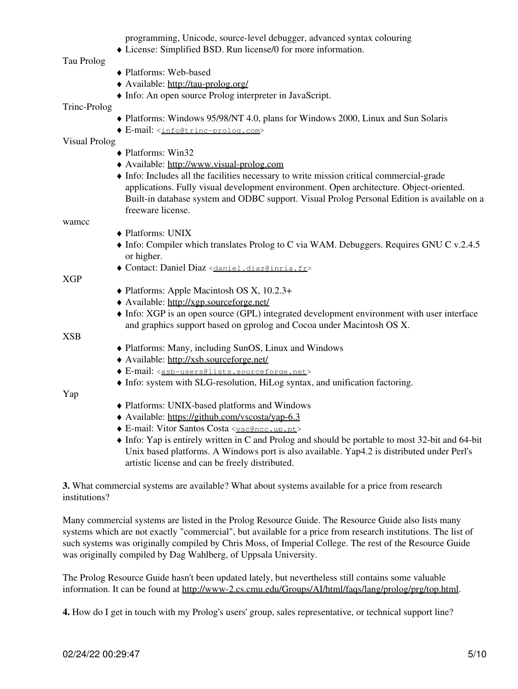| programming, Unicode, source-level debugger, advanced syntax colouring |  |  |  |  |  |  |  |
|------------------------------------------------------------------------|--|--|--|--|--|--|--|
|------------------------------------------------------------------------|--|--|--|--|--|--|--|

♦ License: Simplified BSD. Run license/0 for more information.

Tau Prolog

- ♦ Platforms: Web-based
- ♦ Available: <http://tau-prolog.org/>
- ♦ Info: An open source Prolog interpreter in JavaScript.

Trinc-Prolog

♦ Platforms: Windows 95/98/NT 4.0, plans for Windows 2000, Linux and Sun Solaris

♦ E-mail: [<info@trinc-prolog.com>](mailto:info@trinc-prolog.com)

Visual Prolog

- ♦ Platforms: Win32
- ♦ Available: <http://www.visual-prolog.com>
- Info: Includes all the facilities necessary to write mission critical commercial-grade ♦ applications. Fully visual development environment. Open architecture. Object-oriented. Built-in database system and ODBC support. Visual Prolog Personal Edition is available on a freeware license.

wamcc

- ♦ Platforms: UNIX
- $\blacklozenge$  Info: Compiler which translates Prolog to C via WAM. Debuggers. Requires GNU C v.2.4.5 or higher.
- ♦ Contact: Daniel Diaz [<daniel.diaz@inria.fr](mailto:daniel.diaz@inria.fr)>

XGP

- ♦ Platforms: Apple Macintosh OS X, 10.2.3+
- ♦ Available: <http://xgp.sourceforge.net/>
- Info: XGP is an open source (GPL) integrated development environment with user interface ♦ and graphics support based on gprolog and Cocoa under Macintosh OS X.

XSB

- ♦ Platforms: Many, including SunOS, Linux and Windows
- ♦ Available: <http://xsb.sourceforge.net/>
- ♦ E-mail: [<xsb-users@lists.sourceforge.net>](mailto:xsb-users@lists.sourceforge.net)
- ♦ Info: system with SLG-resolution, HiLog syntax, and unification factoring.

Yap

- ♦ Platforms: UNIX-based platforms and Windows
- ♦ Available: <https://github.com/vscosta/yap-6.3>
- $\triangle$  E-mail: Vitor Santos Costa [<vsc@ncc.up.pt](mailto:vsc@ncc.up.pt)>
- Info: Yap is entirely written in C and Prolog and should be portable to most 32-bit and 64-bit ♦ Unix based platforms. A Windows port is also available. Yap4.2 is distributed under Perl's artistic license and can be freely distributed.

**3.** What commercial systems are available? What about systems available for a price from research institutions?

Many commercial systems are listed in the Prolog Resource Guide. The Resource Guide also lists many systems which are not exactly "commercial", but available for a price from research institutions. The list of such systems was originally compiled by Chris Moss, of Imperial College. The rest of the Resource Guide was originally compiled by Dag Wahlberg, of Uppsala University.

The Prolog Resource Guide hasn't been updated lately, but nevertheless still contains some valuable information. It can be found at [http://www-2.cs.cmu.edu/Groups/AI/html/faqs/lang/prolog/prg/top.html.](http://www-2.cs.cmu.edu/Groups/AI/html/faqs/lang/prolog/prg/top.html)

**4.** How do I get in touch with my Prolog's users' group, sales representative, or technical support line?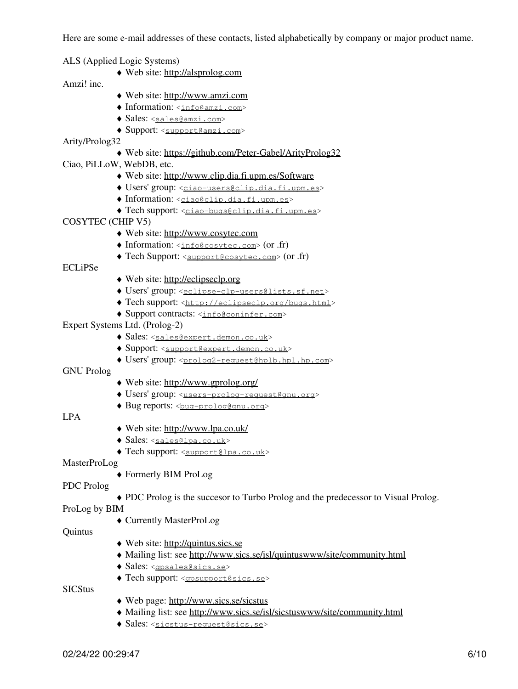Here are some e-mail addresses of these contacts, listed alphabetically by company or major product name.

ALS (Applied Logic Systems)

♦ Web site: <http://alsprolog.com>

Amzi! inc.

- ♦ Web site: <http://www.amzi.com>
- ♦ Information: <[info@amzi.com>](mailto:info@amzi.com)
- ♦ Sales: [<sales@amzi.com](mailto:sales@amzi.com)>
- ♦ Support: [<support@amzi.com](mailto:support@amzi.com)>

Arity/Prolog32

- ♦ Web site: <https://github.com/Peter-Gabel/ArityProlog32>
- Ciao, PiLLoW, WebDB, etc.
	- ♦ Web site: <http://www.clip.dia.fi.upm.es/Software>
	- ♦ Users' group: <[ciao-users@clip.dia.fi.upm.es](mailto:ciao-users@clip.dia.fi.upm.es)>
	- ♦ Information: <[ciao@clip.dia.fi.upm.es>](mailto:ciao@clip.dia.fi.upm.es)
	- ♦ Tech support: <[ciao-bugs@clip.dia.fi.upm.es](mailto:ciao-bugs@clip.dia.fi.upm.es)>

#### COSYTEC (CHIP V5)

- ♦ Web site: <http://www.cosytec.com>
- ♦ Information: <[info@cosytec.com](mailto:info@cosytec.com)> (or .fr)
- ♦ Tech Support: <[support@cosytec.com](mailto:support@cosytec.com)> (or .fr)

#### ECLiPSe

- ♦ Web site: <http://eclipseclp.org>
- ♦ Users' group: <[eclipse-clp-users@lists.sf.net>](mailto:eclipse-clp-users@lists.sf.net)
- ♦ Tech support: <[http://eclipseclp.org/bugs.html](mailto:http://eclipseclp.org/bugs.html)>
- ♦ Support contracts: [<info@coninfer.com](mailto:info@coninfer.com)>
- Expert Systems Ltd. (Prolog-2)
	- ♦ Sales: [<sales@expert.demon.co.uk](mailto:sales@expert.demon.co.uk)>
	- ♦ Support: [<support@expert.demon.co.uk](mailto:support@expert.demon.co.uk)>
	- ♦ Users' group: <[prolog2-request@hplb.hpl.hp.com](mailto:prolog2-request@hplb.hpl.hp.com)>
- GNU Prolog
- ♦ Web site: <http://www.gprolog.org/>
- ♦ Users' group: <[users-prolog-request@gnu.org>](mailto:users-prolog-request@gnu.org)
- ♦ Bug reports: <[bug-prolog@gnu.org](mailto:bug-prolog@gnu.org)>

#### LPA

- ♦ Web site: <http://www.lpa.co.uk/>
- $\blacklozenge$  Sales: [<sales@lpa.co.uk](mailto:sales@lpa.co.uk)>
- ♦ Tech support: <[support@lpa.co.uk>](mailto:support@lpa.co.uk)

#### MasterProLog

♦ Formerly BIM ProLog

#### PDC Prolog

♦ PDC Prolog is the succesor to Turbo Prolog and the predecessor to Visual Prolog.

#### ProLog by BIM

♦ Currently MasterProLog

Quintus

- ♦ Web site: <http://quintus.sics.se>
- ♦ Mailing list: see <http://www.sics.se/isl/quintuswww/site/community.html>
- ♦ Sales: [<qpsales@sics.se](mailto:qpsales@sics.se)>
- ♦ Tech support: <[qpsupport@sics.se>](mailto:qpsupport@sics.se)

**SICStus** 

- ♦ Web page:<http://www.sics.se/sicstus>
- ♦ Mailing list: see <http://www.sics.se/isl/sicstuswww/site/community.html>
- ♦ Sales: [<sicstus-request@sics.se>](mailto:sicstus-request@sics.se)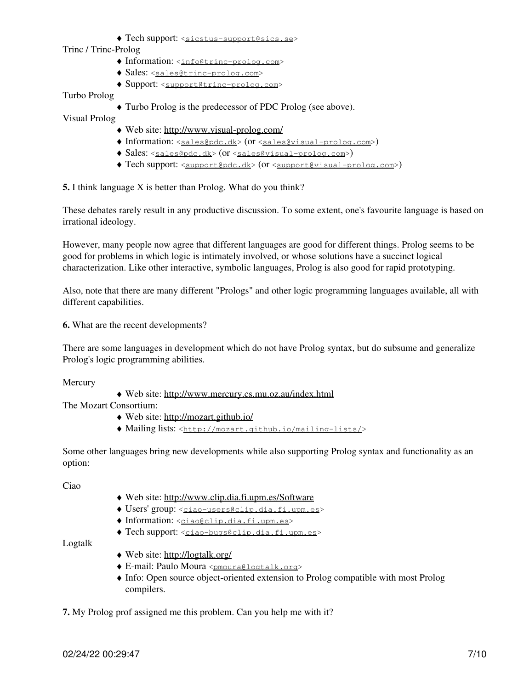♦ Tech support: <[sicstus-support@sics.se](mailto:sicstus-support@sics.se)>

Trinc / Trinc-Prolog

- ♦ Information: <[info@trinc-prolog.com](mailto:info@trinc-prolog.com)>
- ♦ Sales: [<sales@trinc-prolog.com](mailto:sales@trinc-prolog.com)>
- ♦ Support: [<support@trinc-prolog.com>](mailto:support@trinc-prolog.com)

Turbo Prolog

♦ Turbo Prolog is the predecessor of PDC Prolog (see above).

Visual Prolog

- ♦ Web site: <http://www.visual-prolog.com/>
- $\blacklozenge$  Information:  $\langle$ [sales@pdc.dk>](mailto:sales@pdc.dk) (or  $\langle$ [sales@visual-prolog.com>](mailto:sales@visual-prolog.com))
- ♦ Sales: [<sales@pdc.dk](mailto:sales@pdc.dk)> (or [<sales@visual-prolog.com>](mailto:sales@visual-prolog.com))
- ♦ Tech support: <[support@pdc.dk](mailto:support@pdc.dk)> (or <[support@visual-prolog.com>](mailto:support@visual-prolog.com))

**5.** I think language X is better than Prolog. What do you think?

These debates rarely result in any productive discussion. To some extent, one's favourite language is based on irrational ideology.

However, many people now agree that different languages are good for different things. Prolog seems to be good for problems in which logic is intimately involved, or whose solutions have a succinct logical characterization. Like other interactive, symbolic languages, Prolog is also good for rapid prototyping.

Also, note that there are many different "Prologs" and other logic programming languages available, all with different capabilities.

**6.** What are the recent developments?

There are some languages in development which do not have Prolog syntax, but do subsume and generalize Prolog's logic programming abilities.

#### Mercury

♦ Web site: <http://www.mercury.cs.mu.oz.au/index.html>

The Mozart Consortium:

- ♦ Web site: <http://mozart.github.io/>
- ♦ Mailing lists: [<http://mozart.github.io/mailing-lists/>](mailto:http://mozart.github.io/mailing-lists/)

Some other languages bring new developments while also supporting Prolog syntax and functionality as an option:

Ciao

- ♦ Web site: <http://www.clip.dia.fi.upm.es/Software>
- ♦ Users' group: <[ciao-users@clip.dia.fi.upm.es](mailto:ciao-users@clip.dia.fi.upm.es)>
- ♦ Information: <[ciao@clip.dia.fi.upm.es>](mailto:ciao@clip.dia.fi.upm.es)
- ♦ Tech support: <[ciao-bugs@clip.dia.fi.upm.es](mailto:ciao-bugs@clip.dia.fi.upm.es)>

Logtalk

- ♦ Web site: <http://logtalk.org/>
- ♦ E-mail: Paulo Moura [<pmoura@logtalk.org](mailto:pmoura@logtalk.org)>
- Info: Open source object-oriented extension to Prolog compatible with most Prolog ♦ compilers.

**7.** My Prolog prof assigned me this problem. Can you help me with it?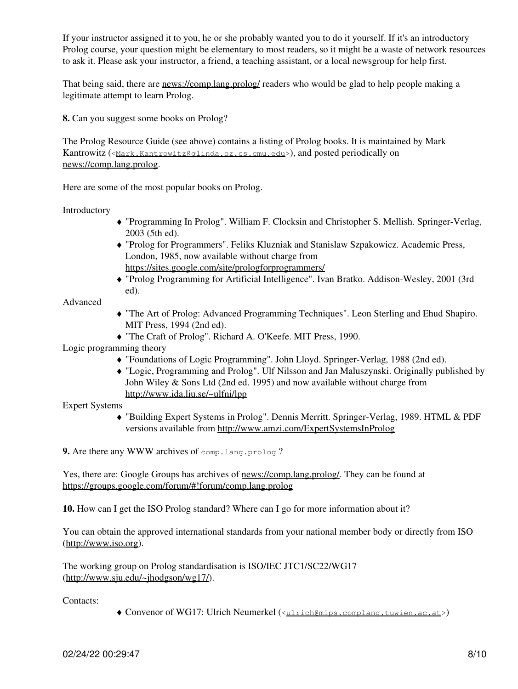If your instructor assigned it to you, he or she probably wanted you to do it yourself. If it's an introductory Prolog course, your question might be elementary to most readers, so it might be a waste of network resources to ask it. Please ask your instructor, a friend, a teaching assistant, or a local newsgroup for help first.

That being said, there are news://comp.lang.prolog/ readers who would be glad to help people making a legitimate attempt to learn Prolog.

**8.** Can you suggest some books on Prolog?

The Prolog Resource Guide (see above) contains a listing of Prolog books. It is maintained by Mark Kantrowitz ([<Mark.Kantrowitz@glinda.oz.cs.cmu.edu>](mailto:Mark.Kantrowitz@glinda.oz.cs.cmu.edu)), and posted periodically on news://comp.lang.prolog.

Here are some of the most popular books on Prolog.

Introductory

- "Programming In Prolog". William F. Clocksin and Christopher S. Mellish. Springer-Verlag, ♦ 2003 (5th ed).
- "Prolog for Programmers". Feliks Kluzniak and Stanislaw Szpakowicz. Academic Press, ♦ London, 1985, now available without charge from <https://sites.google.com/site/prologforprogrammers/>
- "Prolog Programming for Artificial Intelligence". Ivan Bratko. Addison-Wesley, 2001 (3rd ♦ ed).

Advanced

- "The Art of Prolog: Advanced Programming Techniques". Leon Sterling and Ehud Shapiro. ♦ MIT Press, 1994 (2nd ed).
- ♦ "The Craft of Prolog". Richard A. O'Keefe. MIT Press, 1990.

Logic programming theory

- ♦ "Foundations of Logic Programming". John Lloyd. Springer-Verlag, 1988 (2nd ed).
- "Logic, Programming and Prolog". Ulf Nilsson and Jan Maluszynski. Originally published by ♦ John Wiley & Sons Ltd (2nd ed. 1995) and now available without charge from <http://www.ida.liu.se/~ulfni/lpp>

Expert Systems

"Building Expert Systems in Prolog". Dennis Merritt. Springer-Verlag, 1989. HTML & PDF ♦ versions available from<http://www.amzi.com/ExpertSystemsInProlog>

**9.** Are there any WWW archives of comp. lang.prolog?

Yes, there are: Google Groups has archives of news://comp.lang.prolog/. They can be found at <https://groups.google.com/forum/#!forum/comp.lang.prolog>

**10.** How can I get the ISO Prolog standard? Where can I go for more information about it?

You can obtain the approved international standards from your national member body or directly from ISO ([http://www.iso.org\)](http://www.iso.org).

The working group on Prolog standardisation is ISO/IEC JTC1/SC22/WG17 ([http://www.sju.edu/~jhodgson/wg17/\)](http://www.sju.edu/~jhodgson/wg17/).

Contacts:

◆ Convenor of WG17: Ulrich Neumerkel (<[ulrich@mips.complang.tuwien.ac.at>](mailto:ulrich@mips.complang.tuwien.ac.at))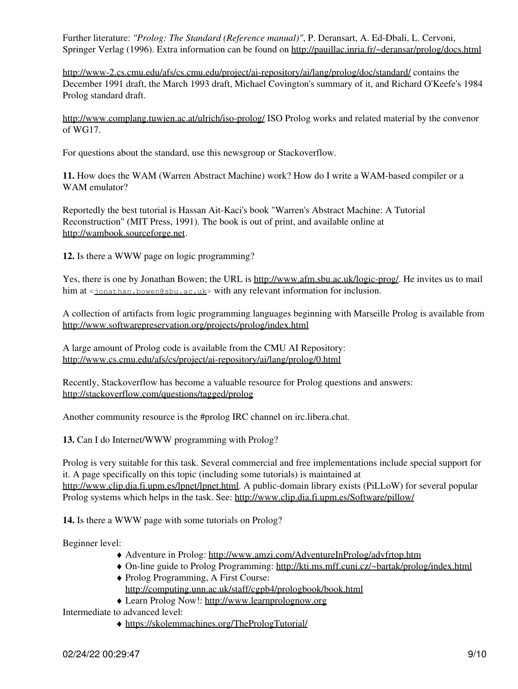Further literature: *"Prolog: The Standard (Reference manual)"*, P. Deransart, A. Ed-Dbali, L. Cervoni, Springer Verlag (1996). Extra information can be found on <http://pauillac.inria.fr/~deransar/prolog/docs.html>

<http://www-2.cs.cmu.edu/afs/cs.cmu.edu/project/ai-repository/ai/lang/prolog/doc/standard/>contains the December 1991 draft, the March 1993 draft, Michael Covington's summary of it, and Richard O'Keefe's 1984 Prolog standard draft.

<http://www.complang.tuwien.ac.at/ulrich/iso-prolog/> ISO Prolog works and related material by the convenor of WG17.

For questions about the standard, use this newsgroup or Stackoverflow.

**11.** How does the WAM (Warren Abstract Machine) work? How do I write a WAM-based compiler or a WAM emulator?

Reportedly the best tutorial is Hassan Ait-Kaci's book "Warren's Abstract Machine: A Tutorial Reconstruction" (MIT Press, 1991). The book is out of print, and available online at <http://wambook.sourceforge.net>.

**12.** Is there a WWW page on logic programming?

Yes, there is one by Jonathan Bowen; the URL is [http://www.afm.sbu.ac.uk/logic-prog/.](http://www.afm.sbu.ac.uk/logic-prog/) He invites us to mail him at <<u>jonathan.bowen@sbu.ac.uk</u>> with any relevant information for inclusion.

A collection of artifacts from logic programming languages beginning with Marseille Prolog is available from <http://www.softwarepreservation.org/projects/prolog/index.html>

A large amount of Prolog code is available from the CMU AI Repository: <http://www.cs.cmu.edu/afs/cs/project/ai-repository/ai/lang/prolog/0.html>

Recently, Stackoverflow has become a valuable resource for Prolog questions and answers: <http://stackoverflow.com/questions/tagged/prolog>

Another community resource is the #prolog IRC channel on irc.libera.chat.

**13.** Can I do Internet/WWW programming with Prolog?

Prolog is very suitable for this task. Several commercial and free implementations include special support for it. A page specifically on this topic (including some tutorials) is maintained at <http://www.clip.dia.fi.upm.es/lpnet/lpnet.html>. A public-domain library exists (PiLLoW) for several popular Prolog systems which helps in the task. See: <http://www.clip.dia.fi.upm.es/Software/pillow/>

**14.** Is there a WWW page with some tutorials on Prolog?

Beginner level:

- ♦ Adventure in Prolog: <http://www.amzi.com/AdventureInProlog/advfrtop.htm>
- ♦ On-line guide to Prolog Programming:<http://kti.ms.mff.cuni.cz/~bartak/prolog/index.html>
- Prolog Programming, A First Course: ♦ <http://computing.unn.ac.uk/staff/cgpb4/prologbook/book.html>
- ♦ Learn Prolog Now!:<http://www.learnprolognow.org>

Intermediate to advanced level:

♦ https://skolemmachines.org/ThePrologTutorial/